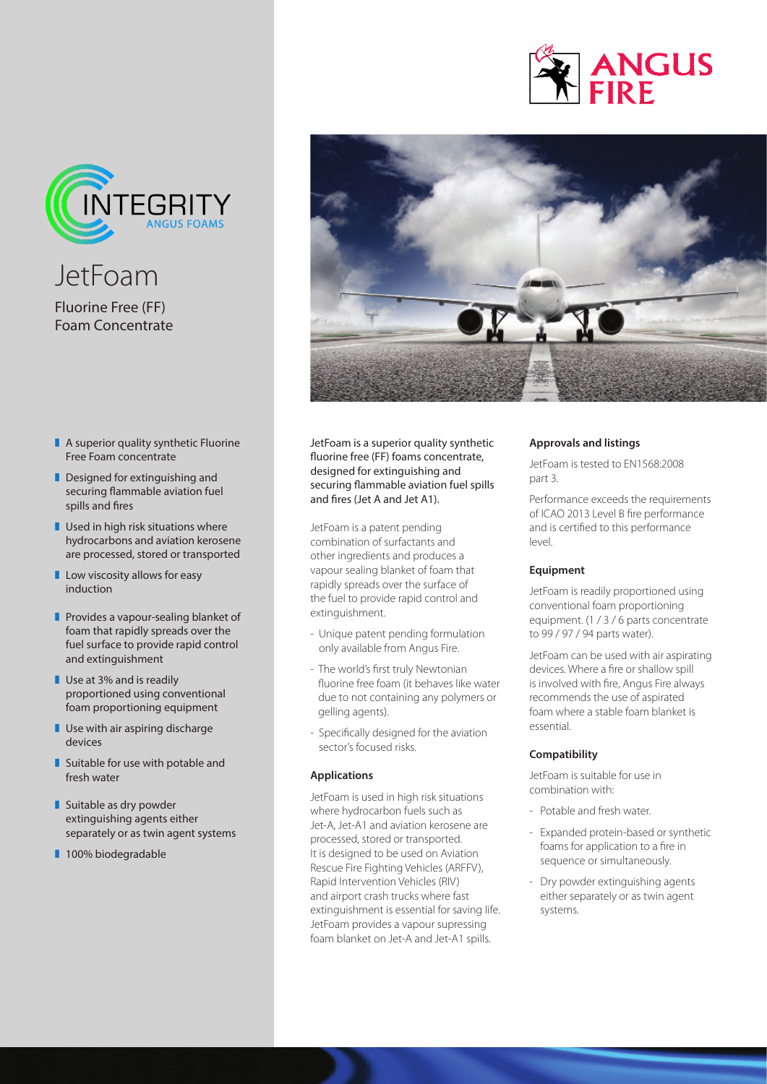



JetFoam Fluorine Free (FF) Foam Concentrate

- $\blacksquare$  A superior quality synthetic Fluorine Free Foam concentrate
- $\blacksquare$  Designed for extinguishing and securing flammable aviation fuel spills and fires
- $\blacksquare$  Used in high risk situations where hydrocarbons and aviation kerosene are processed, stored or transported
- $\blacksquare$  Low viscosity allows for easy induction
- $\blacksquare$  Provides a vapour-sealing blanket of foam that rapidly spreads over the fuel surface to provide rapid control and extinguishment
- $\blacksquare$  Use at 3% and is readily proportioned using conventional foam proportioning equipment
- $\blacksquare$  Use with air aspiring discharge devices
- $\blacksquare$  Suitable for use with potable and fresh water
- $\blacksquare$  Suitable as dry powder extinguishing agents either separately or as twin agent systems
- 100% biodegradable



JetFoam is a superior quality synthetic fluorine free (FF) foams concentrate, designed for extinguishing and securing flammable aviation fuel spills and fires (Jet A and Jet A1).

JetFoam is a patent pending combination of surfactants and other ingredients and produces a vapour sealing blanket of foam that rapidly spreads over the surface of the fuel to provide rapid control and extinguishment.

- Unique patent pending formulation only available from Angus Fire.
- The world's first truly Newtonian fluorine free foam (it behaves like water due to not containing any polymers or gelling agents).
- Specifically designed for the aviation sector's focused risks.

## **Applications**

JetFoam is used in high risk situations where hydrocarbon fuels such as Jet-A, Jet-A1 and aviation kerosene are processed, stored or transported. It is designed to be used on Aviation Rescue Fire Fighting Vehicles (ARFFV), Rapid Intervention Vehicles (RIV) and airport crash trucks where fast extinguishment is essential for saving life. JetFoam provides a vapour supressing foam blanket on Jet-A and Jet-A1 spills.

## **Approvals and listings**

JetFoam is tested to EN1568:2008 part 3.

Performance exceeds the requirements of ICAO 2013 Level B fire performance and is certified to this performance level.

## **Equipment**

JetFoam is readily proportioned using conventional foam proportioning equipment. (1 / 3 / 6 parts concentrate to 99 / 97 / 94 parts water).

JetFoam can be used with air aspirating devices. Where a fire or shallow spill is involved with fire, Angus Fire always recommends the use of aspirated foam where a stable foam blanket is essential.

## **Compatibility**

JetFoam is suitable for use in combination with:

- Potable and fresh water.
- Expanded protein-based or synthetic foams for application to a fire in sequence or simultaneously.
- Dry powder extinguishing agents either separately or as twin agent systems.